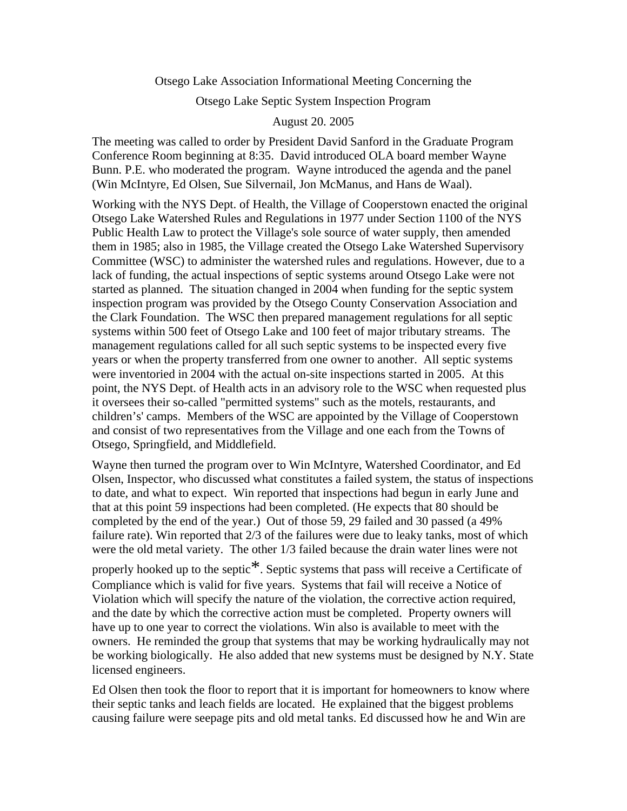Otsego Lake Association Informational Meeting Concerning the

Otsego Lake Septic System Inspection Program

August 20. 2005

The meeting was called to order by President David Sanford in the Graduate Program Conference Room beginning at 8:35. David introduced OLA board member Wayne Bunn. P.E. who moderated the program. Wayne introduced the agenda and the panel (Win McIntyre, Ed Olsen, Sue Silvernail, Jon McManus, and Hans de Waal).

Working with the NYS Dept. of Health, the Village of Cooperstown enacted the original Otsego Lake Watershed Rules and Regulations in 1977 under Section 1100 of the NYS Public Health Law to protect the Village's sole source of water supply, then amended them in 1985; also in 1985, the Village created the Otsego Lake Watershed Supervisory Committee (WSC) to administer the watershed rules and regulations. However, due to a lack of funding, the actual inspections of septic systems around Otsego Lake were not started as planned. The situation changed in 2004 when funding for the septic system inspection program was provided by the Otsego County Conservation Association and the Clark Foundation. The WSC then prepared management regulations for all septic systems within 500 feet of Otsego Lake and 100 feet of major tributary streams. The management regulations called for all such septic systems to be inspected every five years or when the property transferred from one owner to another. All septic systems were inventoried in 2004 with the actual on-site inspections started in 2005. At this point, the NYS Dept. of Health acts in an advisory role to the WSC when requested plus it oversees their so-called "permitted systems" such as the motels, restaurants, and children's' camps. Members of the WSC are appointed by the Village of Cooperstown and consist of two representatives from the Village and one each from the Towns of Otsego, Springfield, and Middlefield.

Wayne then turned the program over to Win McIntyre, Watershed Coordinator, and Ed Olsen, Inspector, who discussed what constitutes a failed system, the status of inspections to date, and what to expect. Win reported that inspections had begun in early June and that at this point 59 inspections had been completed. (He expects that 80 should be completed by the end of the year.) Out of those 59, 29 failed and 30 passed (a 49% failure rate). Win reported that 2/3 of the failures were due to leaky tanks, most of which were the old metal variety. The other 1/3 failed because the drain water lines were not

properly hooked up to the septic<sup>\*</sup>. Septic systems that pass will receive a Certificate of Compliance which is valid for five years. Systems that fail will receive a Notice of Violation which will specify the nature of the violation, the corrective action required, and the date by which the corrective action must be completed. Property owners will have up to one year to correct the violations. Win also is available to meet with the owners. He reminded the group that systems that may be working hydraulically may not be working biologically. He also added that new systems must be designed by N.Y. State licensed engineers.

Ed Olsen then took the floor to report that it is important for homeowners to know where their septic tanks and leach fields are located. He explained that the biggest problems causing failure were seepage pits and old metal tanks. Ed discussed how he and Win are